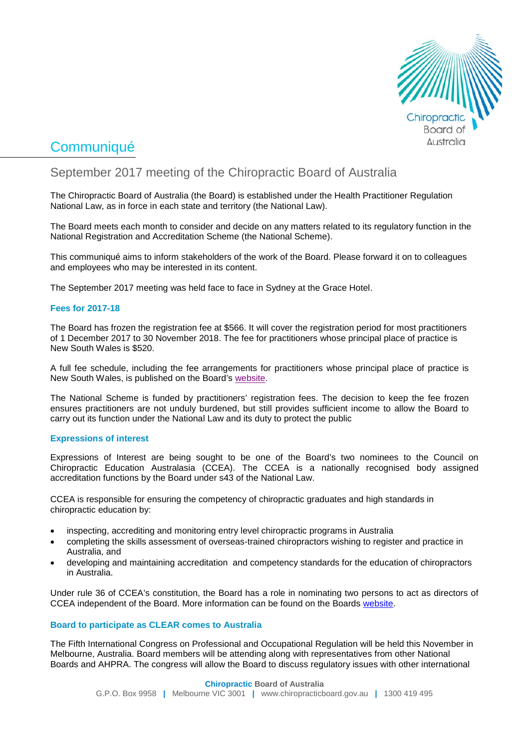

# **Communiqué**

## September 2017 meeting of the Chiropractic Board of Australia

The Chiropractic Board of Australia (the Board) is established under the Health Practitioner Regulation National Law, as in force in each state and territory (the National Law).

The Board meets each month to consider and decide on any matters related to its regulatory function in the National Registration and Accreditation Scheme (the National Scheme).

This communiqué aims to inform stakeholders of the work of the Board. Please forward it on to colleagues and employees who may be interested in its content.

The September 2017 meeting was held face to face in Sydney at the Grace Hotel.

#### **Fees for 2017-18**

The Board has frozen the registration fee at \$566. It will cover the registration period for most practitioners of 1 December 2017 to 30 November 2018. The fee for practitioners whose principal place of practice is New South Wales is \$520.

A [full fee schedule,](http://www.chiropracticboard.gov.au/Registration/Fees.aspx) including the fee arrangements for practitioners whose principal place of practice is New South Wales, is published on the Board's [website.](http://www.chiropracticboard.gov.au/News/2017-09-15-media-release-fees.aspx)

The National Scheme is funded by practitioners' registration fees. The decision to keep the fee frozen ensures practitioners are not unduly burdened, but still provides sufficient income to allow the Board to carry out its function under the National Law and its duty to protect the public

#### **Expressions of interest**

Expressions of Interest are being sought to be one of the Board's two nominees to the Council on Chiropractic Education Australasia (CCEA). The CCEA is a nationally recognised body assigned accreditation functions by the Board under s43 of the National Law.

CCEA is responsible for ensuring the competency of chiropractic graduates and high standards in chiropractic education by:

- inspecting, accrediting and monitoring entry level chiropractic programs in Australia
- completing the skills assessment of overseas-trained chiropractors wishing to register and practice in Australia, and
- developing and maintaining accreditation and competency standards for the education of chiropractors in Australia.

Under rule 36 of CCEA's constitution, the Board has a role in nominating two persons to act as directors of CCEA independent of the Board. More information can be found on the Boards [website.](http://www.chiropracticboard.gov.au/News/2017-10-06-expressions-of-interest.aspx)

#### **Board to participate as CLEAR comes to Australia**

The Fifth International Congress on Professional and Occupational Regulation will be held this November in Melbourne, Australia. Board members will be attending along with representatives from other National Boards and AHPRA. The congress will allow the Board to discuss regulatory issues with other international